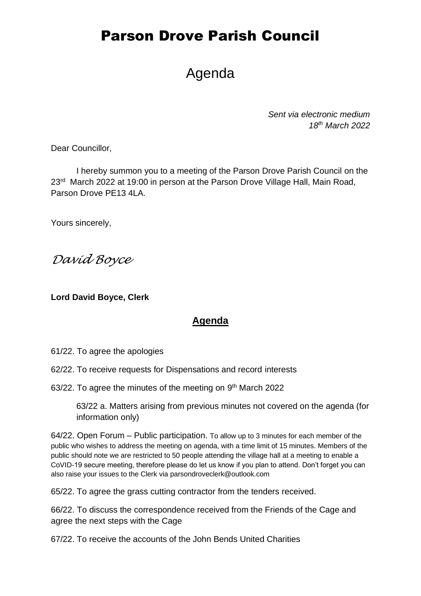## Parson Drove Parish Council

## Agenda

*Sent via electronic medium 18th March 2022*

Dear Councillor,

I hereby summon you to a meeting of the Parson Drove Parish Council on the 23<sup>rd</sup> March 2022 at 19:00 in person at the Parson Drove Village Hall, Main Road, Parson Drove PE13 4LA.

Yours sincerely,

*David Boyce*

**Lord David Boyce, Clerk**

## **Agenda**

61/22. To agree the apologies

- 62/22. To receive requests for Dispensations and record interests
- 63/22. To agree the minutes of the meeting on 9<sup>th</sup> March 2022

63/22 a. Matters arising from previous minutes not covered on the agenda (for information only)

64/22. Open Forum – Public participation. To allow up to 3 minutes for each member of the public who wishes to address the meeting on agenda, with a time limit of 15 minutes. Members of the public should note we are restricted to 50 people attending the village hall at a meeting to enable a CoVID-19 secure meeting, therefore please do let us know if you plan to attend. Don't forget you can also raise your issues to the Clerk via parsondroveclerk@outlook.com

65/22. To agree the grass cutting contractor from the tenders received.

66/22. To discuss the correspondence received from the Friends of the Cage and agree the next steps with the Cage

67/22. To receive the accounts of the John Bends United Charities